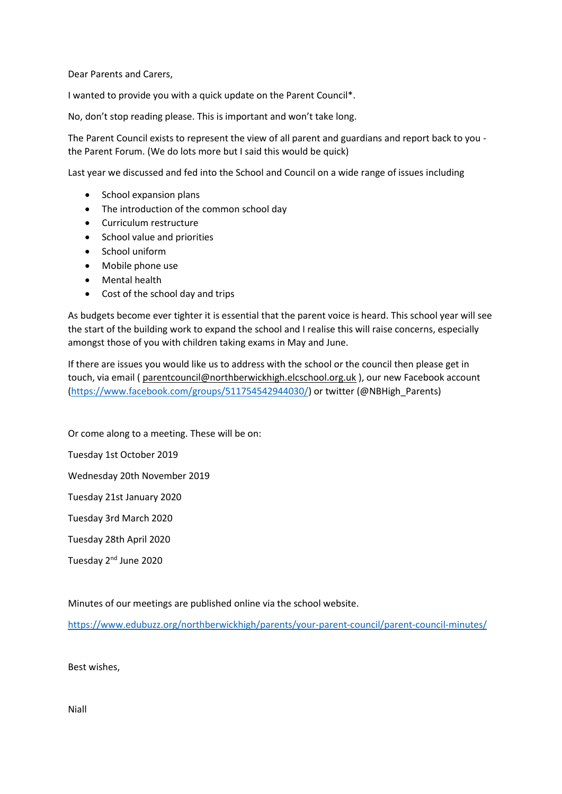Dear Parents and Carers,

I wanted to provide you with a quick update on the Parent Council\*.

No, don't stop reading please. This is important and won't take long.

The Parent Council exists to represent the view of all parent and guardians and report back to you the Parent Forum. (We do lots more but I said this would be quick)

Last year we discussed and fed into the School and Council on a wide range of issues including

- School expansion plans
- The introduction of the common school day
- Curriculum restructure
- School value and priorities
- School uniform
- Mobile phone use
- Mental health
- Cost of the school day and trips

As budgets become ever tighter it is essential that the parent voice is heard. This school year will see the start of the building work to expand the school and I realise this will raise concerns, especially amongst those of you with children taking exams in May and June.

If there are issues you would like us to address with the school or the council then please get in touch, via email ( [parentcouncil@northberwickhigh.elcschool.org.uk](mailto:parentcouncil@northberwickhigh.elcschool.org.uk) ), our new Facebook account [\(https://www.facebook.com/groups/511754542944030/\)](https://www.facebook.com/groups/511754542944030/) or twitter (@NBHigh\_Parents)

Or come along to a meeting. These will be on:

Tuesday 1st October 2019

Wednesday 20th November 2019

Tuesday 21st January 2020

Tuesday 3rd March 2020

Tuesday 28th April 2020

Tuesday 2<sup>nd</sup> June 2020

Minutes of our meetings are published online via the school website.

<https://www.edubuzz.org/northberwickhigh/parents/your-parent-council/parent-council-minutes/>

Best wishes,

Niall